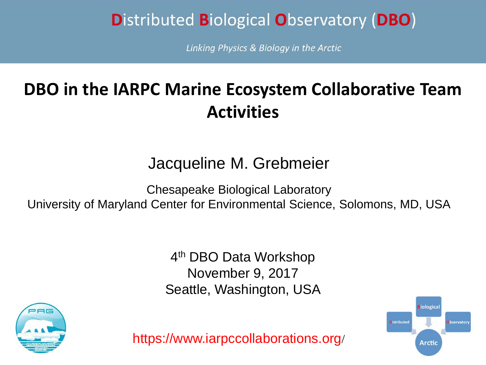# **Distributed Biological Observatory (DBO)**

Linking Physics & Biology in the Arctic

# **DBO in the IARPC Marine Ecosystem Collaborative Team Activities**

### Jacqueline M. Grebmeier

Chesapeake Biological Laboratory

University of Maryland Center for Environmental Science, Solomons, MD, USA

4th DBO Data Workshop November 9, 2017 Seattle, Washington, USA



https://www.iarpccollaborations.org/

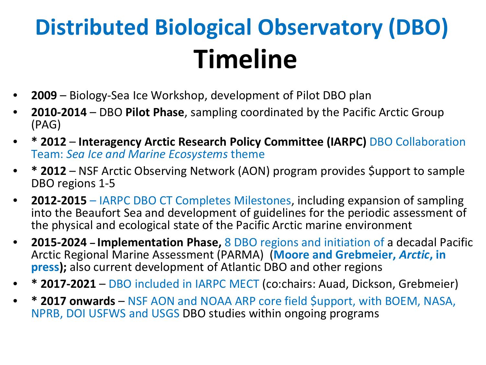# **Distributed Biological Observatory (DBO) Timeline**

- **2009** Biology-Sea Ice Workshop, development of Pilot DBO plan
- **2010-2014** DBO **Pilot Phase**, sampling coordinated by the Pacific Arctic Group (PAG)
- **\* 2012 Interagency Arctic Research Policy Committee (IARPC)** DBO Collaboration Team: *Sea Ice and Marine Ecosystems* theme
- **\* 2012** NSF Arctic Observing Network (AON) program provides \$upport to sample DBO regions 1-5
- **2012-2015** IARPC DBO CT Completes Milestones, including expansion of sampling into the Beaufort Sea and development of guidelines for the periodic assessment of the physical and ecological state of the Pacific Arctic marine environment
- **2015-2024 – Implementation Phase,** 8 DBO regions and initiation of a decadal Pacific Arctic Regional Marine Assessment (PARMA) (**Moore and Grebmeier,** *Arctic***, in press);** also current development of Atlantic DBO and other regions
- **\* 2017-2021** DBO included in IARPC MECT (co:chairs: Auad, Dickson, Grebmeier)
- **\* 2017 onwards** NSF AON and NOAA ARP core field \$upport, with BOEM, NASA, NPRB, DOI USFWS and USGS DBO studies within ongoing programs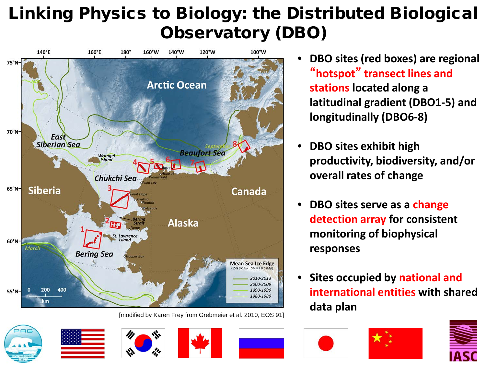# Linking Physics to Biology: the Distributed Biological Observatory (DBO)





- **DBO sites exhibit high productivity, biodiversity, and/or overall rates of change**
- **DBO sites serve as a change detection array for consistent monitoring of biophysical responses**
- **Sites occupied by national and international entities with shared**





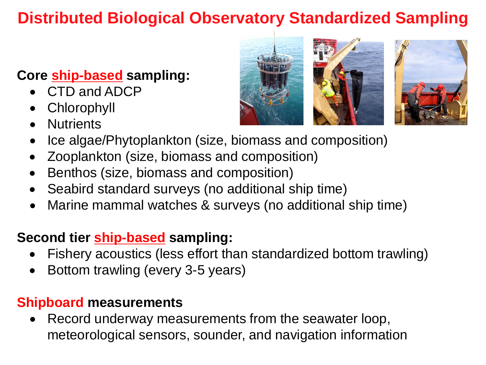## **Distributed Biological Observatory Standardized Sampling**

#### **Core ship-based sampling:**

- CTD and ADCP
- Chlorophyll
- **Nutrients**



- Zooplankton (size, biomass and composition)
- Benthos (size, biomass and composition)
- Seabird standard surveys (no additional ship time)
- Marine mammal watches & surveys (no additional ship time)

#### **Second tier ship-based sampling:**

- Fishery acoustics (less effort than standardized bottom trawling)
- Bottom trawling (every 3-5 years)

#### **Shipboard measurements**

• Record underway measurements from the seawater loop, meteorological sensors, sounder, and navigation information



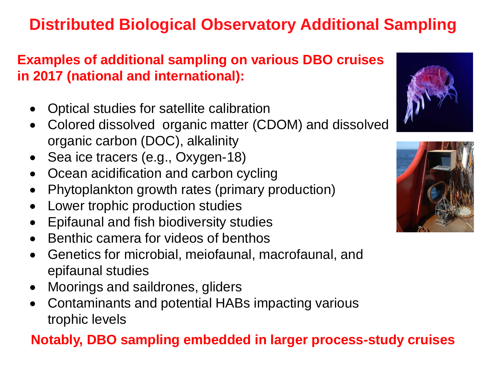# **Distributed Biological Observatory Additional Sampling**

#### **Examples of additional sampling on various DBO cruises in 2017 (national and international):**

- Optical studies for satellite calibration
- Colored dissolved organic matter (CDOM) and dissolved organic carbon (DOC), alkalinity
- Sea ice tracers (e.g., Oxygen-18)
- Ocean acidification and carbon cycling
- Phytoplankton growth rates (primary production)
- Lower trophic production studies
- Epifaunal and fish biodiversity studies
- Benthic camera for videos of benthos
- Genetics for microbial, meiofaunal, macrofaunal, and epifaunal studies
- Moorings and saildrones, gliders
- Contaminants and potential HABs impacting various trophic levels

### **Notably, DBO sampling embedded in larger process-study cruises**



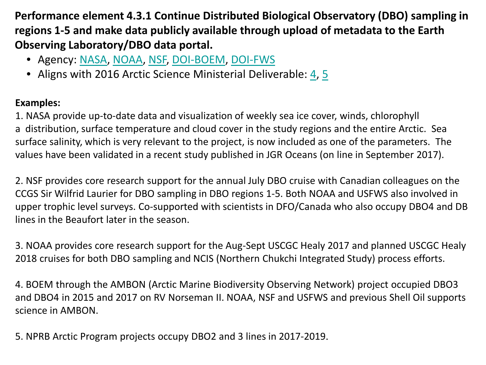**Performance element 4.3.1 Continue Distributed Biological Observatory (DBO) sampling in regions 1-5 and make data publicly available through upload of metadata to the Earth Observing Laboratory/DBO data portal.**

- Agency: [NASA,](https://www.iarpccollaborations.org/members/agencies/186) [NOAA,](https://www.iarpccollaborations.org/members/agencies/188) [NSF](https://www.iarpccollaborations.org/members/agencies/189), [DOI-BOEM,](https://www.iarpccollaborations.org/members/agencies/490) [DOI-FWS](https://www.iarpccollaborations.org/members/agencies/2861)
- Aligns with 2016 Arctic Science Ministerial Deliverable: [4,](https://www.iarpccollaborations.org/members/milestones/deliverables/3258) [5](https://www.iarpccollaborations.org/members/milestones/deliverables/3259)

#### **Examples:**

1. NASA provide up-to-date data and visualization of weekly sea ice cover, winds, chlorophyll a distribution, surface temperature and cloud cover in the study regions and the entire Arctic. Sea surface salinity, which is very relevant to the project, is now included as one of the parameters. The values have been validated in a recent study published in JGR Oceans (on line in September 2017).

2. NSF provides core research support for the annual July DBO cruise with Canadian colleagues on the CCGS Sir Wilfrid Laurier for DBO sampling in DBO regions 1-5. Both NOAA and USFWS also involved in upper trophic level surveys. Co-supported with scientists in DFO/Canada who also occupy DBO4 and DB lines in the Beaufort later in the season.

3. NOAA provides core research support for the Aug-Sept USCGC Healy 2017 and planned USCGC Healy 2018 cruises for both DBO sampling and NCIS (Northern Chukchi Integrated Study) process efforts.

4. BOEM through the AMBON (Arctic Marine Biodiversity Observing Network) project occupied DBO3 and DBO4 in 2015 and 2017 on RV Norseman II. NOAA, NSF and USFWS and previous Shell Oil supports science in AMBON.

5. NPRB Arctic Program projects occupy DBO2 and 3 lines in 2017-2019.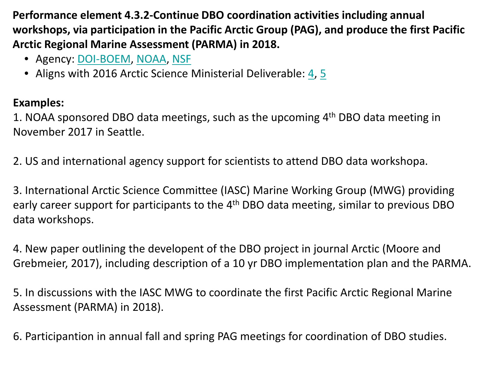**Performance element 4.3.2-Continue DBO coordination activities including annual workshops, via participation in the Pacific Arctic Group (PAG), and produce the first Pacific Arctic Regional Marine Assessment (PARMA) in 2018.**

- Agency: [DOI-BOEM,](https://www.iarpccollaborations.org/members/agencies/490) [NOAA](https://www.iarpccollaborations.org/members/agencies/188), [NSF](https://www.iarpccollaborations.org/members/agencies/189)
- Aligns with 2016 Arctic Science Ministerial Deliverable: [4](https://www.iarpccollaborations.org/members/milestones/deliverables/3258), [5](https://www.iarpccollaborations.org/members/milestones/deliverables/3259)

#### **Examples:**

1. NOAA sponsored DBO data meetings, such as the upcoming 4th DBO data meeting in November 2017 in Seattle.

2. US and international agency support for scientists to attend DBO data workshopa.

3. International Arctic Science Committee (IASC) Marine Working Group (MWG) providing early career support for participants to the 4<sup>th</sup> DBO data meeting, similar to previous DBO data workshops.

4. New paper outlining the developent of the DBO project in journal Arctic (Moore and Grebmeier, 2017), including description of a 10 yr DBO implementation plan and the PARMA.

5. In discussions with the IASC MWG to coordinate the first Pacific Arctic Regional Marine Assessment (PARMA) in 2018).

6. Participantion in annual fall and spring PAG meetings for coordination of DBO studies.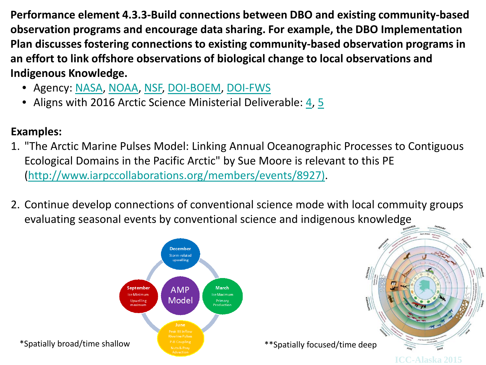**Performance element 4.3.3-Build connections between DBO and existing community-based observation programs and encourage data sharing. For example, the DBO Implementation Plan discusses fostering connections to existing community-based observation programs in an effort to link offshore observations of biological change to local observations and Indigenous Knowledge.**

- Agency: [NASA](https://www.iarpccollaborations.org/members/agencies/186), [NOAA](https://www.iarpccollaborations.org/members/agencies/188), [NSF,](https://www.iarpccollaborations.org/members/agencies/189) [DOI-BOEM](https://www.iarpccollaborations.org/members/agencies/490), [DOI-FWS](https://www.iarpccollaborations.org/members/agencies/2861)
- Aligns with 2016 Arctic Science Ministerial Deliverable: [4](https://www.iarpccollaborations.org/members/milestones/deliverables/3258), [5](https://www.iarpccollaborations.org/members/milestones/deliverables/3259)

#### **Examples:**

- 1. "The Arctic Marine Pulses Model: Linking Annual Oceanographic Processes to Contiguous Ecological Domains in the Pacific Arctic" by Sue Moore is relevant to this PE ([http://www.iarpccollaborations.org/members/events/8927\)](http://www.iarpccollaborations.org/members/events/8927)).
- 2. Continue develop connections of conventional science mode with local commuity groups evaluating seasonal events by conventional science and indigenous knowledge



\*Spatially broad/time shallow

\*\*Spatially focused/time deep

**ICC-Alaska 2015**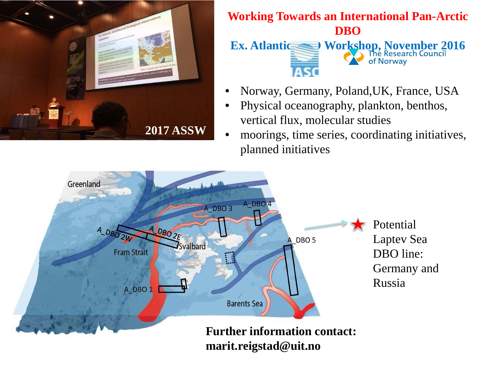

#### **Working Towards an International Pan-Arctic DBO Ex. Atlantic DBO Workshop, November 2016** of Norway **IASC**

- Norway, Germany, Poland,UK, France, USA
- Physical oceanography, plankton, benthos, vertical flux, molecular studies
- moorings, time series, coordinating initiatives, planned initiatives